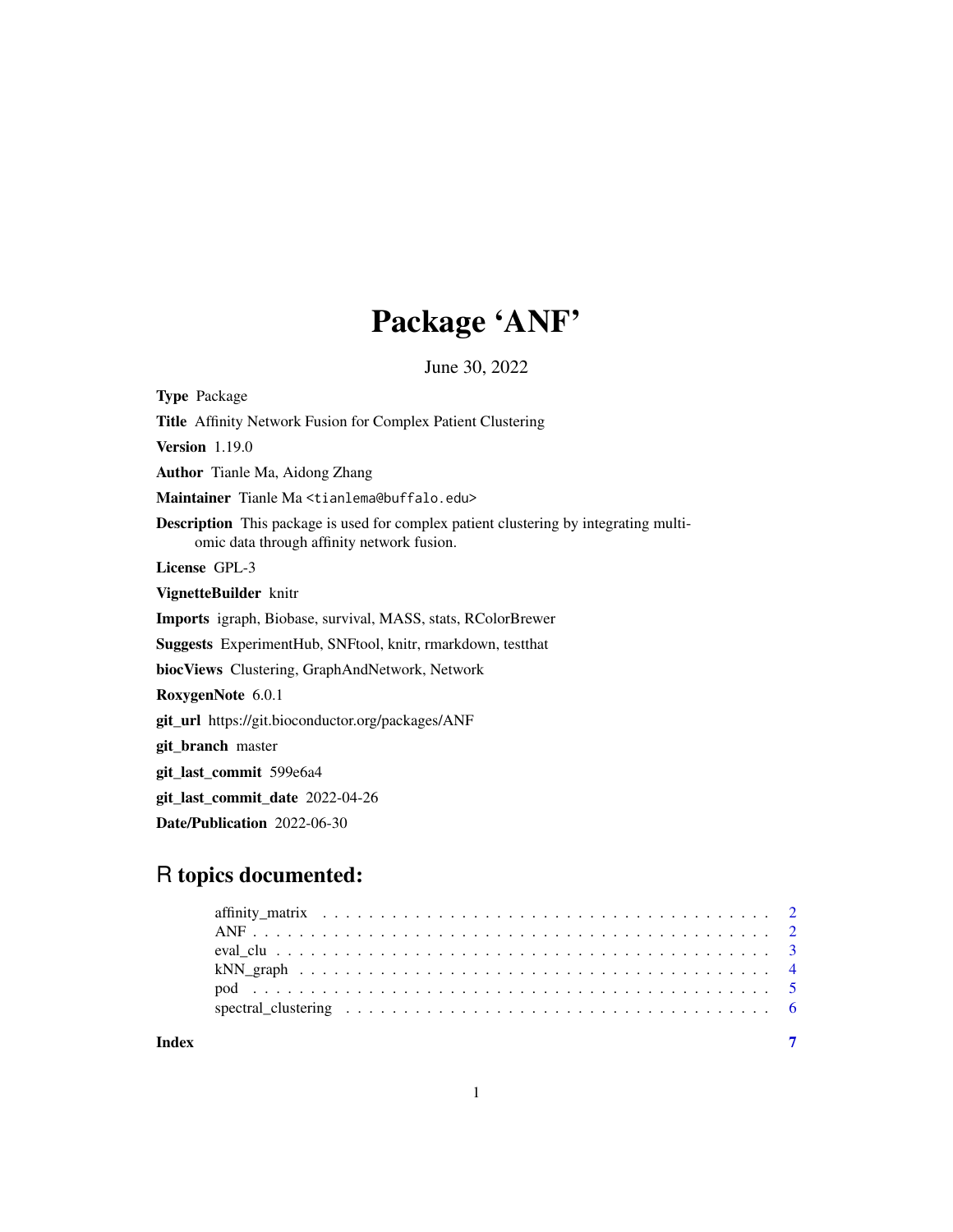## Package 'ANF'

June 30, 2022

Type Package Title Affinity Network Fusion for Complex Patient Clustering Version 1.19.0 Author Tianle Ma, Aidong Zhang Maintainer Tianle Ma <tianlema@buffalo.edu> Description This package is used for complex patient clustering by integrating multiomic data through affinity network fusion. License GPL-3 VignetteBuilder knitr Imports igraph, Biobase, survival, MASS, stats, RColorBrewer Suggests ExperimentHub, SNFtool, knitr, rmarkdown, testthat biocViews Clustering, GraphAndNetwork, Network RoxygenNote 6.0.1 git\_url https://git.bioconductor.org/packages/ANF git branch master git\_last\_commit 599e6a4 git\_last\_commit\_date 2022-04-26 Date/Publication 2022-06-30

### R topics documented:

**Index** [7](#page-6-0) **7**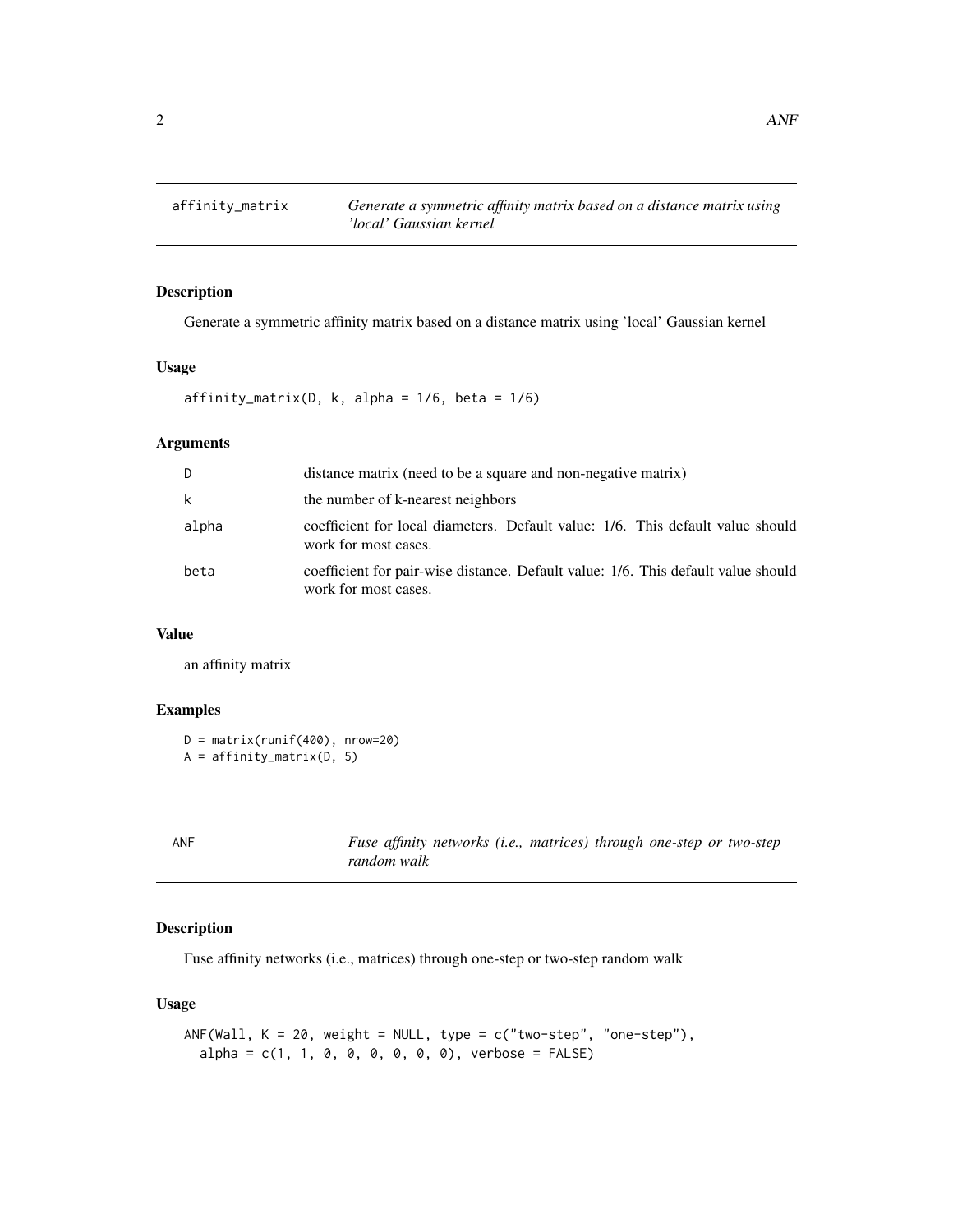<span id="page-1-0"></span>

#### Description

Generate a symmetric affinity matrix based on a distance matrix using 'local' Gaussian kernel

#### Usage

 $affinity_matrix(D, k, alpha = 1/6, beta = 1/6)$ 

#### Arguments

| D     | distance matrix (need to be a square and non-negative matrix)                                             |
|-------|-----------------------------------------------------------------------------------------------------------|
| k     | the number of k-nearest neighbors                                                                         |
| alpha | coefficient for local diameters. Default value: 1/6. This default value should<br>work for most cases.    |
| beta  | coefficient for pair-wise distance. Default value: 1/6. This default value should<br>work for most cases. |

#### Value

an affinity matrix

#### Examples

```
D = matrix(runif(400), nrow=20)A = affinity_matrix(D, 5)
```

| - |  |  |  |  |  |
|---|--|--|--|--|--|
|---|--|--|--|--|--|

ANF *Fuse affinity networks (i.e., matrices) through one-step or two-step random walk*

#### Description

Fuse affinity networks (i.e., matrices) through one-step or two-step random walk

#### Usage

```
ANF(Wall, K = 20, weight = NULL, type = c("two-step", "one-step"),
  alpha = c(1, 1, 0, 0, 0, 0, 0, 0), verbose = FALSE)
```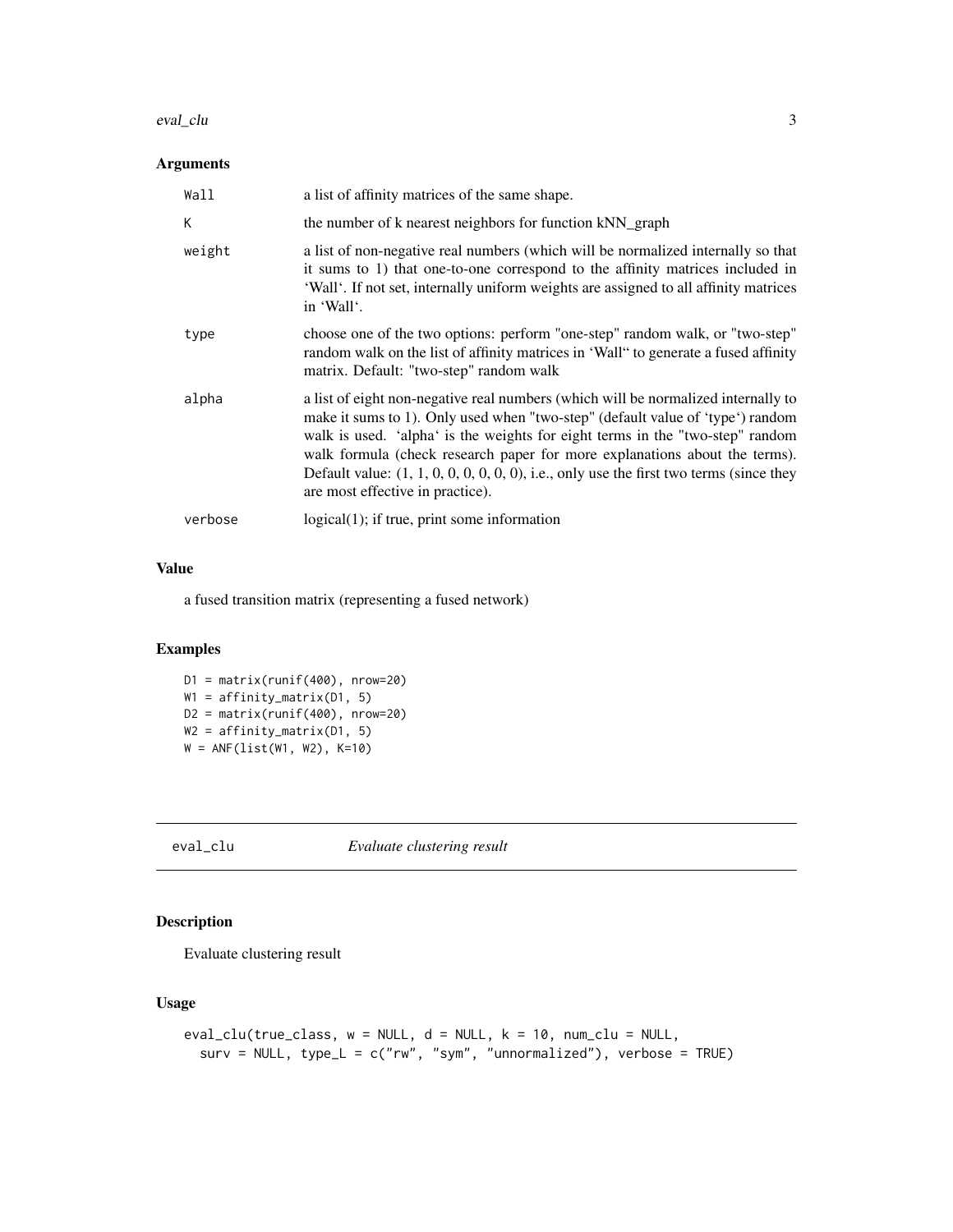#### <span id="page-2-0"></span>eval\_clu 3

#### Arguments

| Wall    | a list of affinity matrices of the same shape.                                                                                                                                                                                                                                                                                                                                                                                                                       |
|---------|----------------------------------------------------------------------------------------------------------------------------------------------------------------------------------------------------------------------------------------------------------------------------------------------------------------------------------------------------------------------------------------------------------------------------------------------------------------------|
| К       | the number of k nearest neighbors for function kNN_graph                                                                                                                                                                                                                                                                                                                                                                                                             |
| weight  | a list of non-negative real numbers (which will be normalized internally so that<br>it sums to 1) that one-to-one correspond to the affinity matrices included in<br>'Wall'. If not set, internally uniform weights are assigned to all affinity matrices<br>in 'Wall'.                                                                                                                                                                                              |
| type    | choose one of the two options: perform "one-step" random walk, or "two-step"<br>random walk on the list of affinity matrices in 'Wall" to generate a fused affinity<br>matrix. Default: "two-step" random walk                                                                                                                                                                                                                                                       |
| alpha   | a list of eight non-negative real numbers (which will be normalized internally to<br>make it sums to 1). Only used when "two-step" (default value of 'type') random<br>walk is used. 'alpha' is the weights for eight terms in the "two-step" random<br>walk formula (check research paper for more explanations about the terms).<br>Default value: $(1, 1, 0, 0, 0, 0, 0, 0)$ , i.e., only use the first two terms (since they<br>are most effective in practice). |
| verbose | $logical(1);$ if true, print some information                                                                                                                                                                                                                                                                                                                                                                                                                        |

#### Value

a fused transition matrix (representing a fused network)

#### Examples

```
D1 = matrix(runif(400), nrow=20)
W1 = affinity_matrix(D1, 5)
D2 = matrix(runif(400), nrow=20)W2 = affinity_matrix(D1, 5)
W = ANF(list(W1, W2), K=10)
```
eval\_clu *Evaluate clustering result*

#### Description

Evaluate clustering result

#### Usage

```
eval_clu(true_class, w = NULL, d = NULL, k = 10, num_clu = NULL,
  surv = NULL, type_L = c("rw", "sym", "unnormalized"), verbose = TRUE)
```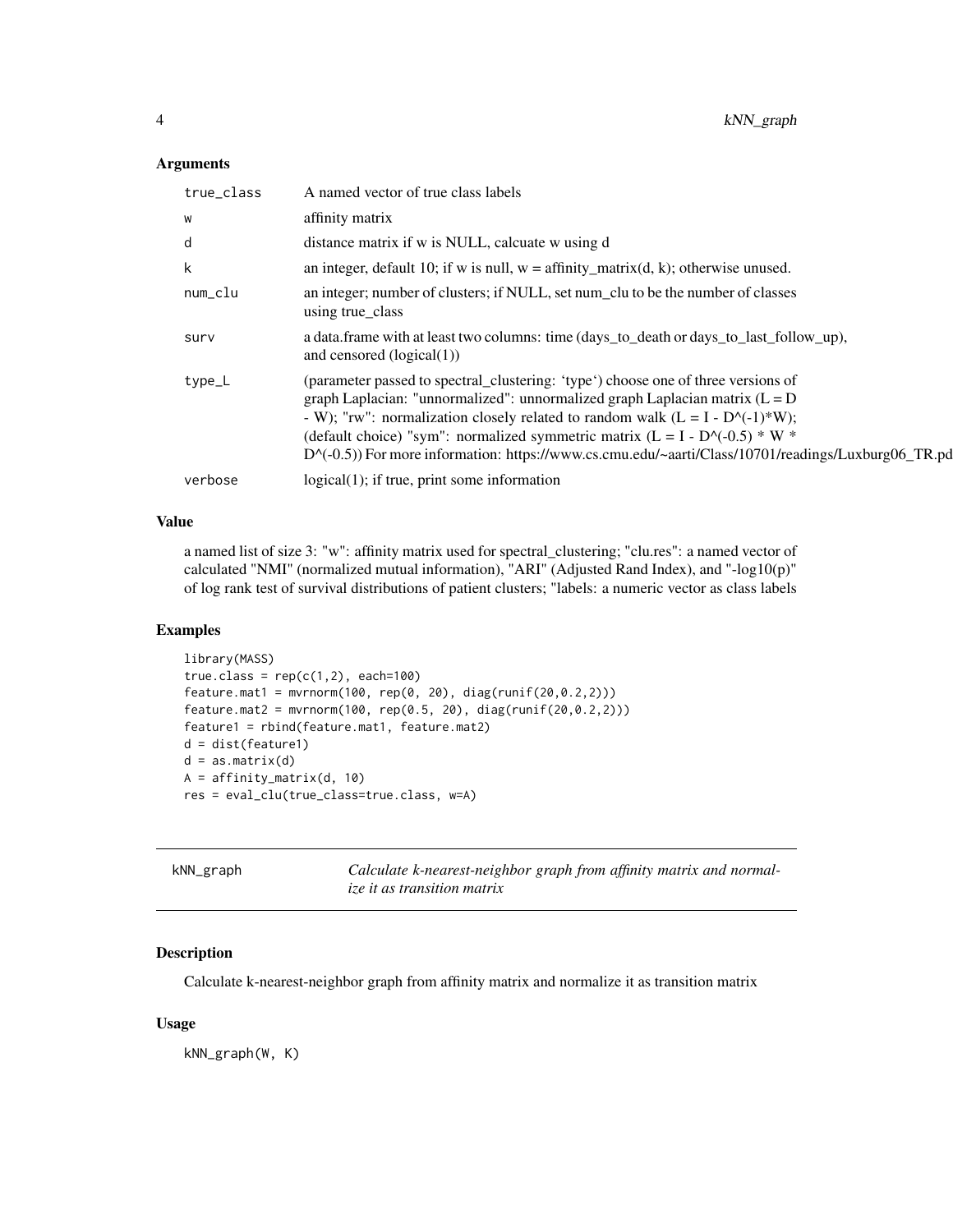#### <span id="page-3-0"></span>Arguments

| true_class | A named vector of true class labels                                                                                                                                                                                                                                                                                                                                                                                                            |
|------------|------------------------------------------------------------------------------------------------------------------------------------------------------------------------------------------------------------------------------------------------------------------------------------------------------------------------------------------------------------------------------------------------------------------------------------------------|
| W          | affinity matrix                                                                                                                                                                                                                                                                                                                                                                                                                                |
| d          | distance matrix if w is NULL, calcuate w using d                                                                                                                                                                                                                                                                                                                                                                                               |
| k          | an integer, default 10; if w is null, $w = \text{affinity\_matrix}(d, k)$ ; otherwise unused.                                                                                                                                                                                                                                                                                                                                                  |
| num_clu    | an integer; number of clusters; if NULL, set num_clu to be the number of classes<br>using true class                                                                                                                                                                                                                                                                                                                                           |
| surv       | a data.frame with at least two columns: time (days_to_death or days_to_last_follow_up),<br>and censored $(logical(1))$                                                                                                                                                                                                                                                                                                                         |
| type_L     | (parameter passed to spectral_clustering: 'type') choose one of three versions of<br>graph Laplacian: "unnormalized": unnormalized graph Laplacian matrix $(L = D)$<br>- W); "rw": normalization closely related to random walk $(L = I - D^{-(-1)*}W)$ ;<br>(default choice) "sym": normalized symmetric matrix (L = I - D^(-0.5) * W *<br>D^(-0.5)) For more information: https://www.cs.cmu.edu/~aarti/Class/10701/readings/Luxburg06_TR.pd |
| verbose    | $logical(1)$ ; if true, print some information                                                                                                                                                                                                                                                                                                                                                                                                 |

#### Value

a named list of size 3: "w": affinity matrix used for spectral\_clustering; "clu.res": a named vector of calculated "NMI" (normalized mutual information), "ARI" (Adjusted Rand Index), and "-log10(p)" of log rank test of survival distributions of patient clusters; "labels: a numeric vector as class labels

#### Examples

```
library(MASS)
true.class = rep(c(1,2), each=100)feature.mat1 = mvrnorm(100, rep(0, 20), diag(runif(20,0.2,2)))
feature.mat2 = mvrnorm(100, rep(0.5, 20), diag(runif(20,0.2,2)))
feature1 = rbind(feature.mat1, feature.mat2)
d = dist(feature1)
d = as.matrix(d)
A = affinity_matrix(d, 10)
res = eval_clu(true_class=true.class, w=A)
```

| kNN_graph | Calculate k-nearest-neighbor graph from affinity matrix and normal- |
|-----------|---------------------------------------------------------------------|
|           | <i>ize it as transition matrix</i>                                  |

#### Description

Calculate k-nearest-neighbor graph from affinity matrix and normalize it as transition matrix

#### Usage

kNN\_graph(W, K)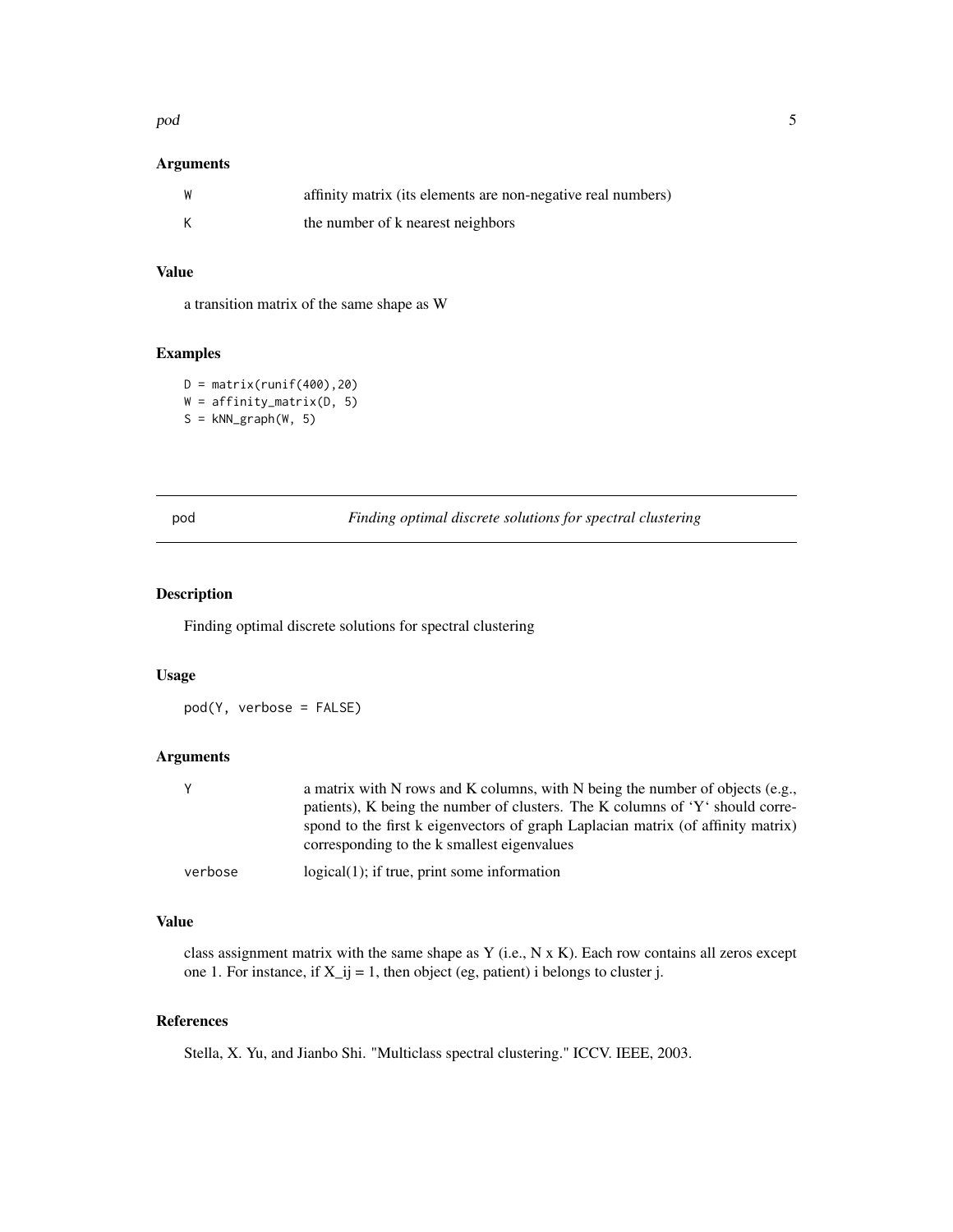#### <span id="page-4-0"></span>pod 55 and 55 and 55 and 55 and 55 and 55 and 55 and 55 and 55 and 55 and 55 and 55 and 55 and 55 and 55 and 55 and 55 and 55 and 55 and 55 and 55 and 55 and 55 and 55 and 55 and 55 and 55 and 55 and 55 and 55 and 55 and 5

#### Arguments

| affinity matrix (its elements are non-negative real numbers) |
|--------------------------------------------------------------|
| the number of k nearest neighbors                            |

#### Value

a transition matrix of the same shape as W

#### Examples

 $D = matrix(runif(400),20)$ W = affinity\_matrix(D, 5)  $S = kNN\_graph(W, 5)$ 

| . .<br>. .<br>. |
|-----------------|
|-----------------|

Finding optimal discrete solutions for spectral clustering

#### Description

Finding optimal discrete solutions for spectral clustering

#### Usage

pod(Y, verbose = FALSE)

#### Arguments

| Y       | a matrix with N rows and K columns, with N being the number of objects (e.g.,    |
|---------|----------------------------------------------------------------------------------|
|         | patients), K being the number of clusters. The K columns of $Y'$ should corre-   |
|         | spond to the first k eigenvectors of graph Laplacian matrix (of affinity matrix) |
|         | corresponding to the k smallest eigenvalues                                      |
| verbose | $logical(1)$ ; if true, print some information                                   |

#### Value

class assignment matrix with the same shape as Y (i.e., N x K). Each row contains all zeros except one 1. For instance, if  $X_i$  = 1, then object (eg, patient) i belongs to cluster j.

#### References

Stella, X. Yu, and Jianbo Shi. "Multiclass spectral clustering." ICCV. IEEE, 2003.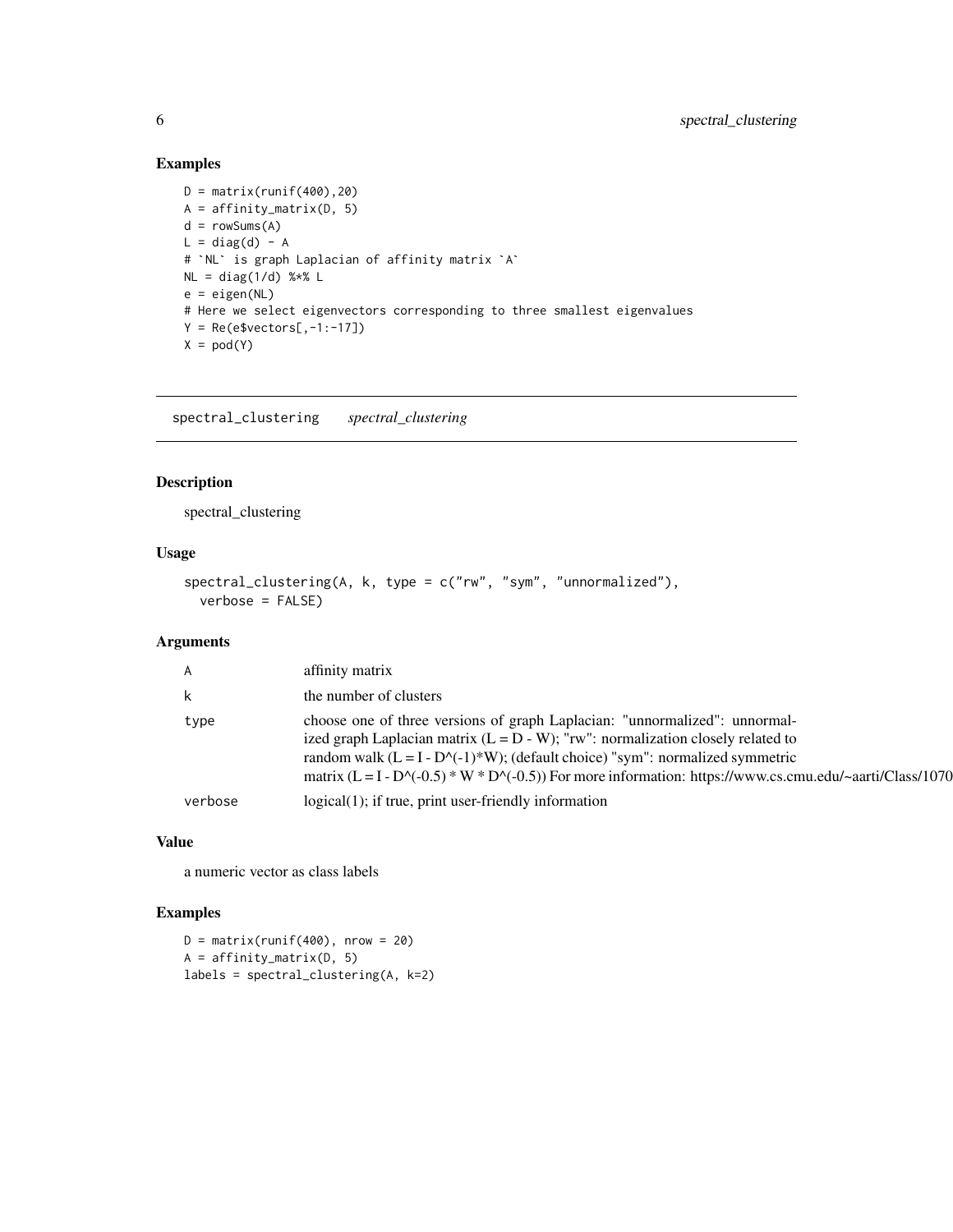#### Examples

```
D = matrix(runif(400), 20)A = affinity_matrix(D, 5)
d = rowSums(A)L = diag(d) - A# `NL` is graph Laplacian of affinity matrix `A`
NL = diag(1/d) %*% L
e = eigen(NL)
# Here we select eigenvectors corresponding to three smallest eigenvalues
Y = Re(e$vectors[, -1:-17])X = \text{pod}(Y)
```
spectral\_clustering *spectral\_clustering*

#### Description

spectral\_clustering

#### Usage

```
spectral_clustering(A, k, type = c("rw", "sym", "unnormalized"),
 verbose = FALSE)
```
#### Arguments

| $\mathsf{A}$ | affinity matrix                                                                                                                                                                                                                                                                                                                                                   |
|--------------|-------------------------------------------------------------------------------------------------------------------------------------------------------------------------------------------------------------------------------------------------------------------------------------------------------------------------------------------------------------------|
| k            | the number of clusters                                                                                                                                                                                                                                                                                                                                            |
| type         | choose one of three versions of graph Laplacian: "unnormalized": unnormal-<br>ized graph Laplacian matrix $(L = D - W)$ ; "rw": normalization closely related to<br>random walk $(L = I - D^{-(-1)*}W)$ ; (default choice) "sym": normalized symmetric<br>matrix (L = I - D^(-0.5) * W * D^(-0.5)) For more information: https://www.cs.cmu.edu/~aarti/Class/1070 |
| verbose      | $logical(1)$ ; if true, print user-friendly information                                                                                                                                                                                                                                                                                                           |

#### Value

a numeric vector as class labels

#### Examples

 $D = matrix(runif(400), nrow = 20)$ A = affinity\_matrix(D, 5) labels = spectral\_clustering(A, k=2)

<span id="page-5-0"></span>